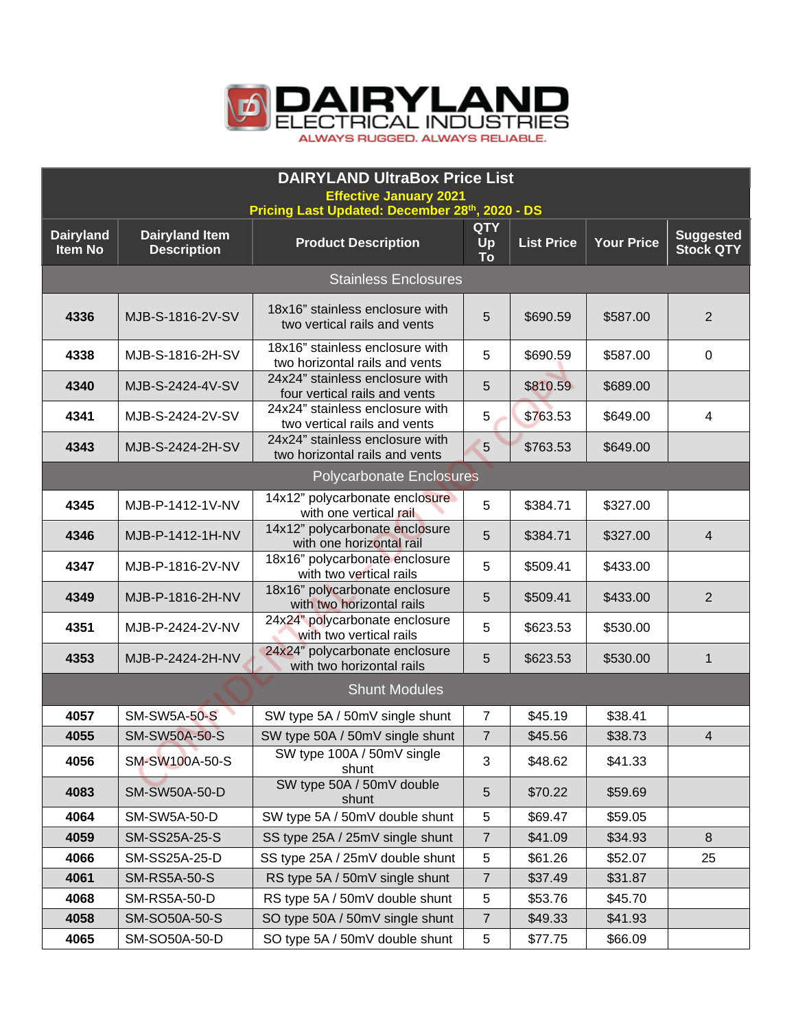

| <b>DAIRYLAND UltraBox Price List</b>                                            |                       |                                                                   |                 |                   |                   |                  |  |
|---------------------------------------------------------------------------------|-----------------------|-------------------------------------------------------------------|-----------------|-------------------|-------------------|------------------|--|
| <b>Effective January 2021</b><br>Pricing Last Updated: December 28th, 2020 - DS |                       |                                                                   |                 |                   |                   |                  |  |
| <b>Dairyland</b>                                                                | <b>Dairyland Item</b> |                                                                   | <b>QTY</b>      |                   |                   | <b>Suggested</b> |  |
| <b>Item No</b>                                                                  | <b>Description</b>    | <b>Product Description</b>                                        | Up<br><b>To</b> | <b>List Price</b> | <b>Your Price</b> | <b>Stock QTY</b> |  |
| <b>Stainless Enclosures</b>                                                     |                       |                                                                   |                 |                   |                   |                  |  |
| 4336                                                                            | MJB-S-1816-2V-SV      | 18x16" stainless enclosure with<br>two vertical rails and vents   | 5               | \$690.59          | \$587.00          | $\overline{2}$   |  |
| 4338                                                                            | MJB-S-1816-2H-SV      | 18x16" stainless enclosure with<br>two horizontal rails and vents | 5               | \$690.59          | \$587.00          | $\mathbf 0$      |  |
| 4340                                                                            | MJB-S-2424-4V-SV      | 24x24" stainless enclosure with<br>four vertical rails and vents  | 5               | \$810.59          | \$689.00          |                  |  |
| 4341                                                                            | MJB-S-2424-2V-SV      | 24x24" stainless enclosure with<br>two vertical rails and vents   | 5               | \$763.53          | \$649.00          | 4                |  |
| 4343                                                                            | MJB-S-2424-2H-SV      | 24x24" stainless enclosure with<br>two horizontal rails and vents | 5               | \$763.53          | \$649.00          |                  |  |
| <b>Polycarbonate Enclosures</b>                                                 |                       |                                                                   |                 |                   |                   |                  |  |
| 4345                                                                            | MJB-P-1412-1V-NV      | 14x12" polycarbonate enclosure<br>with one vertical rail          | 5               | \$384.71          | \$327.00          |                  |  |
| 4346                                                                            | MJB-P-1412-1H-NV      | 14x12" polycarbonate enclosure<br>with one horizontal rail        | 5               | \$384.71          | \$327.00          | 4                |  |
| 4347                                                                            | MJB-P-1816-2V-NV      | 18x16" polycarbonate enclosure<br>with two vertical rails         | 5               | \$509.41          | \$433.00          |                  |  |
| 4349                                                                            | MJB-P-1816-2H-NV      | 18x16" polycarbonate enclosure<br>with two horizontal rails       | 5               | \$509.41          | \$433.00          | $\overline{2}$   |  |
| 4351                                                                            | MJB-P-2424-2V-NV      | 24x24" polycarbonate enclosure<br>with two vertical rails         | 5               | \$623.53          | \$530.00          |                  |  |
| 4353                                                                            | MJB-P-2424-2H-NV      | 24x24" polycarbonate enclosure<br>with two horizontal rails       | 5               | \$623.53          | \$530.00          | $\mathbf 1$      |  |
|                                                                                 |                       | <b>Shunt Modules</b>                                              |                 |                   |                   |                  |  |
| 4057                                                                            | <b>SM-SW5A-50-S</b>   | SW type 5A / 50mV single shunt                                    | $\overline{7}$  | \$45.19           | \$38.41           |                  |  |
| 4055                                                                            | <b>SM-SW50A-50-S</b>  | SW type 50A / 50mV single shunt                                   | $\overline{7}$  | \$45.56           | \$38.73           | 4                |  |
| 4056                                                                            | SM-SW100A-50-S        | SW type 100A / 50mV single<br>shunt                               | 3               | \$48.62           | \$41.33           |                  |  |
| 4083                                                                            | SM-SW50A-50-D         | SW type 50A / 50mV double<br>shunt                                | 5               | \$70.22           | \$59.69           |                  |  |
| 4064                                                                            | SM-SW5A-50-D          | SW type 5A / 50mV double shunt                                    | 5               | \$69.47           | \$59.05           |                  |  |
| 4059                                                                            | SM-SS25A-25-S         | SS type 25A / 25mV single shunt                                   | 7               | \$41.09           | \$34.93           | 8                |  |
| 4066                                                                            | SM-SS25A-25-D         | SS type 25A / 25mV double shunt                                   | 5               | \$61.26           | \$52.07           | 25               |  |
| 4061                                                                            | <b>SM-RS5A-50-S</b>   | RS type 5A / 50mV single shunt                                    | $\overline{7}$  | \$37.49           | \$31.87           |                  |  |
| 4068                                                                            | SM-RS5A-50-D          | RS type 5A / 50mV double shunt                                    | 5               | \$53.76           | \$45.70           |                  |  |
| 4058                                                                            | SM-SO50A-50-S         | SO type 50A / 50mV single shunt                                   | $\overline{7}$  | \$49.33           | \$41.93           |                  |  |
| 4065                                                                            | SM-SO50A-50-D         | SO type 5A / 50mV double shunt                                    | 5               | \$77.75           | \$66.09           |                  |  |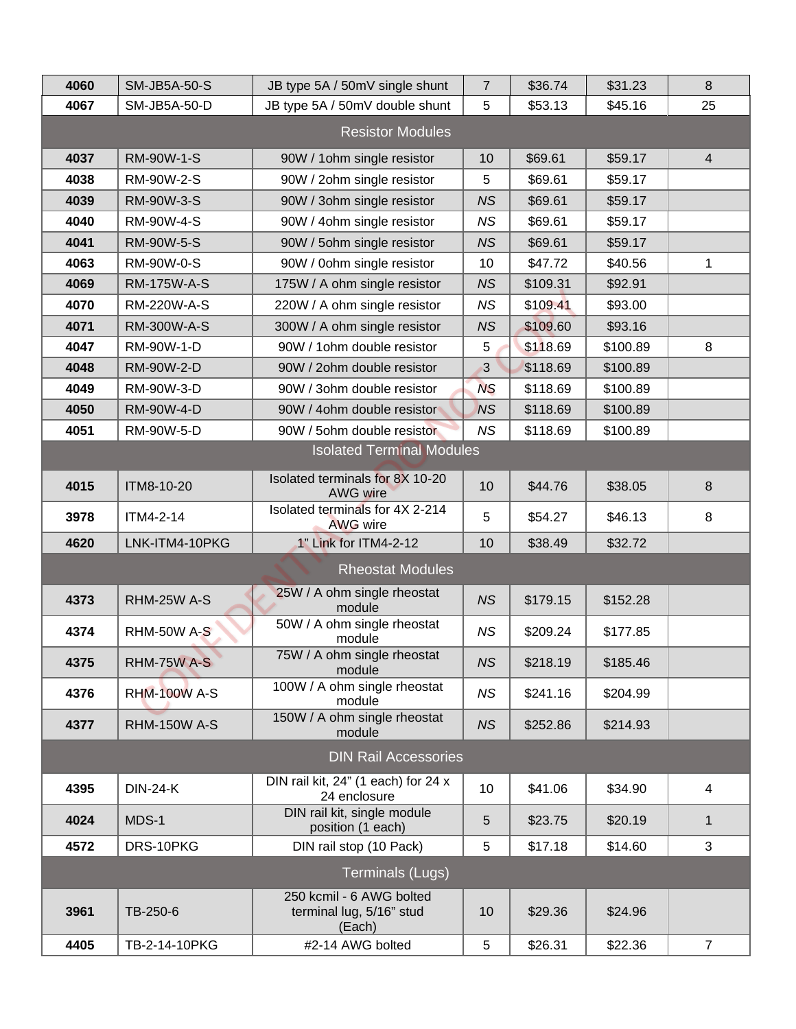| 4060                             | <b>SM-JB5A-50-S</b> | JB type 5A / 50mV single shunt                                 | $\overline{7}$ | \$36.74  | \$31.23  | 8                |  |
|----------------------------------|---------------------|----------------------------------------------------------------|----------------|----------|----------|------------------|--|
| 4067                             | SM-JB5A-50-D        | JB type 5A / 50mV double shunt                                 | 5              | \$53.13  | \$45.16  | 25               |  |
| <b>Resistor Modules</b>          |                     |                                                                |                |          |          |                  |  |
| 4037                             | RM-90W-1-S          | 90W / 1ohm single resistor                                     | 10             | \$69.61  | \$59.17  | $\overline{4}$   |  |
| 4038                             | RM-90W-2-S          | 90W / 2ohm single resistor                                     | 5              | \$69.61  | \$59.17  |                  |  |
| 4039                             | RM-90W-3-S          | 90W / 3ohm single resistor                                     | <b>NS</b>      | \$69.61  | \$59.17  |                  |  |
| 4040                             | RM-90W-4-S          | 90W / 4ohm single resistor                                     | <b>NS</b>      | \$69.61  | \$59.17  |                  |  |
| 4041                             | RM-90W-5-S          | 90W / 5ohm single resistor                                     | <b>NS</b>      | \$69.61  | \$59.17  |                  |  |
| 4063                             | <b>RM-90W-0-S</b>   | 90W / 0ohm single resistor                                     | 10             | \$47.72  | \$40.56  | 1                |  |
| 4069                             | <b>RM-175W-A-S</b>  | 175W / A ohm single resistor                                   | <b>NS</b>      | \$109.31 | \$92.91  |                  |  |
| 4070                             | RM-220W-A-S         | 220W / A ohm single resistor                                   | <b>NS</b>      | \$109.41 | \$93.00  |                  |  |
| 4071                             | <b>RM-300W-A-S</b>  | 300W / A ohm single resistor                                   | <b>NS</b>      | \$109.60 | \$93.16  |                  |  |
| 4047                             | RM-90W-1-D          | 90W / 1 ohm double resistor                                    | 5              | \$118.69 | \$100.89 | 8                |  |
| 4048                             | RM-90W-2-D          | 90W / 2ohm double resistor                                     | 3              | \$118.69 | \$100.89 |                  |  |
| 4049                             | RM-90W-3-D          | 90W / 3ohm double resistor                                     | <b>NS</b>      | \$118.69 | \$100.89 |                  |  |
| 4050                             | RM-90W-4-D          | 90W / 4ohm double resistor                                     | <b>NS</b>      | \$118.69 | \$100.89 |                  |  |
| 4051                             | RM-90W-5-D          | 90W / 5ohm double resistor                                     | <b>NS</b>      | \$118.69 | \$100.89 |                  |  |
| <b>Isolated Terminal Modules</b> |                     |                                                                |                |          |          |                  |  |
| 4015                             | ITM8-10-20          | Isolated terminals for 8X 10-20<br>AWG wire                    | 10             | \$44.76  | \$38.05  | $\boldsymbol{8}$ |  |
| 3978                             | ITM4-2-14           | Isolated terminals for 4X 2-214<br><b>AWG wire</b>             | 5              | \$54.27  | \$46.13  | 8                |  |
| 4620                             | LNK-ITM4-10PKG      | 1" Link for ITM4-2-12                                          | 10             | \$38.49  | \$32.72  |                  |  |
| <b>Rheostat Modules</b>          |                     |                                                                |                |          |          |                  |  |
| 4373                             | RHM-25W A-S         | 25W / A ohm single rheostat<br>module                          | <b>NS</b>      | \$179.15 | \$152.28 |                  |  |
| 4374                             | <b>RHM-50W A-S</b>  | 50W / A ohm single rheostat<br>module                          | <b>NS</b>      | \$209.24 | \$177.85 |                  |  |
| 4375                             | RHM-75W A-S         | 75W / A ohm single rheostat<br>module                          | <b>NS</b>      | \$218.19 | \$185.46 |                  |  |
| 4376                             | <b>RHM-100W A-S</b> | 100W / A ohm single rheostat<br>module                         | <b>NS</b>      | \$241.16 | \$204.99 |                  |  |
| 4377                             | <b>RHM-150W A-S</b> | 150W / A ohm single rheostat<br>module                         | <b>NS</b>      | \$252.86 | \$214.93 |                  |  |
| <b>DIN Rail Accessories</b>      |                     |                                                                |                |          |          |                  |  |
| 4395                             | <b>DIN-24-K</b>     | DIN rail kit, 24" (1 each) for 24 x<br>24 enclosure            | 10             | \$41.06  | \$34.90  | 4                |  |
| 4024                             | MDS-1               | DIN rail kit, single module<br>position (1 each)               | 5              | \$23.75  | \$20.19  | $\mathbf{1}$     |  |
| 4572                             | DRS-10PKG           | DIN rail stop (10 Pack)                                        | 5              | \$17.18  | \$14.60  | 3                |  |
| <b>Terminals (Lugs)</b>          |                     |                                                                |                |          |          |                  |  |
| 3961                             | TB-250-6            | 250 kcmil - 6 AWG bolted<br>terminal lug, 5/16" stud<br>(Each) | 10             | \$29.36  | \$24.96  |                  |  |
| 4405                             | TB-2-14-10PKG       | #2-14 AWG bolted                                               | 5              | \$26.31  | \$22.36  | $\overline{7}$   |  |